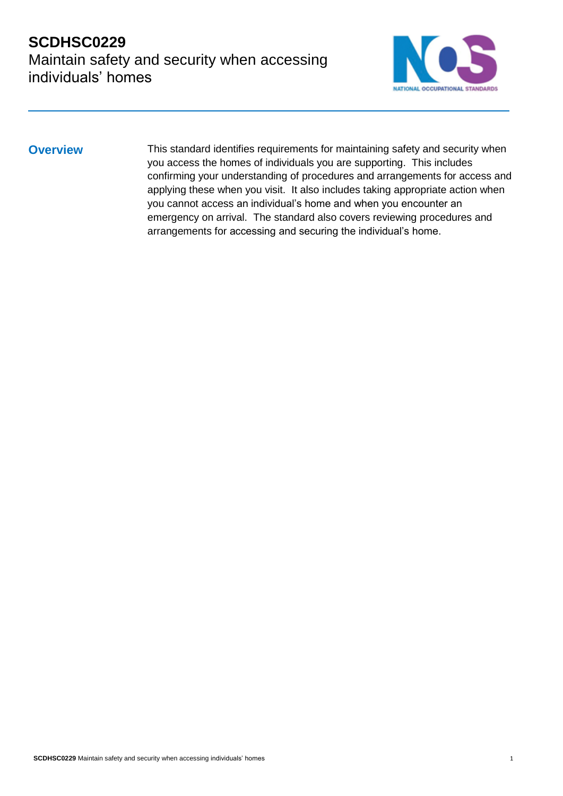

**Overview** This standard identifies requirements for maintaining safety and security when you access the homes of individuals you are supporting. This includes confirming your understanding of procedures and arrangements for access and applying these when you visit. It also includes taking appropriate action when you cannot access an individual's home and when you encounter an emergency on arrival. The standard also covers reviewing procedures and arrangements for accessing and securing the individual's home.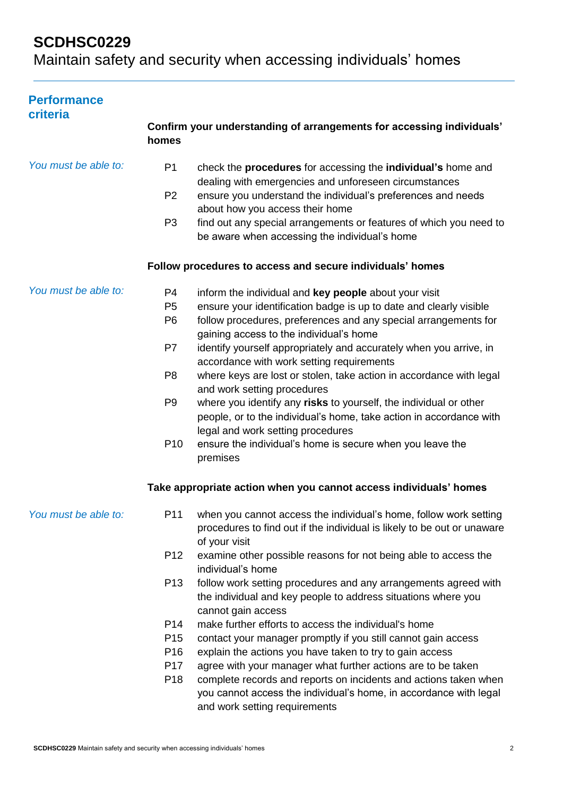# **SCDHSC0229**

Maintain safety and security when accessing individuals' homes

| <b>Performance</b><br>criteria |                                                                                                                 |                                                                                                                                                                                                                                                                                                                                                                                                                                                                                                                                                                                                                                                                                                                                                                                                   |
|--------------------------------|-----------------------------------------------------------------------------------------------------------------|---------------------------------------------------------------------------------------------------------------------------------------------------------------------------------------------------------------------------------------------------------------------------------------------------------------------------------------------------------------------------------------------------------------------------------------------------------------------------------------------------------------------------------------------------------------------------------------------------------------------------------------------------------------------------------------------------------------------------------------------------------------------------------------------------|
|                                | homes                                                                                                           | Confirm your understanding of arrangements for accessing individuals'                                                                                                                                                                                                                                                                                                                                                                                                                                                                                                                                                                                                                                                                                                                             |
| You must be able to:           | P <sub>1</sub><br>P <sub>2</sub><br>P <sub>3</sub>                                                              | check the <b>procedures</b> for accessing the <b>individual's</b> home and<br>dealing with emergencies and unforeseen circumstances<br>ensure you understand the individual's preferences and needs<br>about how you access their home<br>find out any special arrangements or features of which you need to<br>be aware when accessing the individual's home                                                                                                                                                                                                                                                                                                                                                                                                                                     |
|                                |                                                                                                                 | Follow procedures to access and secure individuals' homes                                                                                                                                                                                                                                                                                                                                                                                                                                                                                                                                                                                                                                                                                                                                         |
| You must be able to:           | P <sub>4</sub><br>P <sub>5</sub><br>P <sub>6</sub><br>P7<br>P <sub>8</sub><br>P <sub>9</sub><br>P <sub>10</sub> | inform the individual and key people about your visit<br>ensure your identification badge is up to date and clearly visible<br>follow procedures, preferences and any special arrangements for<br>gaining access to the individual's home<br>identify yourself appropriately and accurately when you arrive, in<br>accordance with work setting requirements<br>where keys are lost or stolen, take action in accordance with legal<br>and work setting procedures<br>where you identify any risks to yourself, the individual or other<br>people, or to the individual's home, take action in accordance with<br>legal and work setting procedures<br>ensure the individual's home is secure when you leave the<br>premises<br>Take appropriate action when you cannot access individuals' homes |
| You must be able to:           | P <sub>12</sub>                                                                                                 | P11 when you cannot access the individual's home, follow work setting<br>procedures to find out if the individual is likely to be out or unaware<br>of your visit<br>examine other possible reasons for not being able to access the<br>individual's home                                                                                                                                                                                                                                                                                                                                                                                                                                                                                                                                         |
|                                | P <sub>13</sub><br>P <sub>14</sub><br>P <sub>15</sub><br>P <sub>16</sub><br>P <sub>17</sub><br>P <sub>18</sub>  | follow work setting procedures and any arrangements agreed with<br>the individual and key people to address situations where you<br>cannot gain access<br>make further efforts to access the individual's home<br>contact your manager promptly if you still cannot gain access<br>explain the actions you have taken to try to gain access<br>agree with your manager what further actions are to be taken<br>complete records and reports on incidents and actions taken when<br>you cannot access the individual's home, in accordance with legal<br>and work setting requirements                                                                                                                                                                                                             |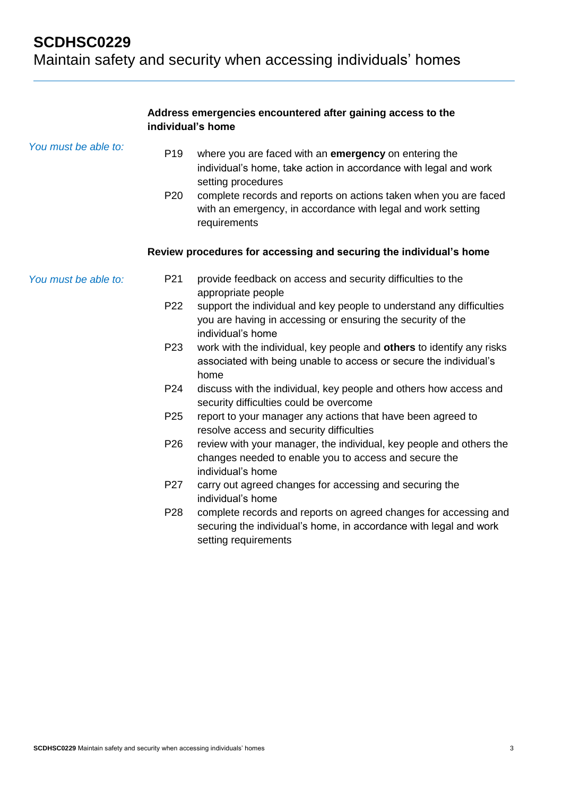### **Address emergencies encountered after gaining access to the individual's home**

| You must be able to: | P <sub>19</sub><br>P <sub>20</sub> | where you are faced with an emergency on entering the<br>individual's home, take action in accordance with legal and work<br>setting procedures<br>complete records and reports on actions taken when you are faced<br>with an emergency, in accordance with legal and work setting<br>requirements |
|----------------------|------------------------------------|-----------------------------------------------------------------------------------------------------------------------------------------------------------------------------------------------------------------------------------------------------------------------------------------------------|
|                      |                                    | Review procedures for accessing and securing the individual's home                                                                                                                                                                                                                                  |
| You must be able to: | P21                                | provide feedback on access and security difficulties to the<br>appropriate people                                                                                                                                                                                                                   |
|                      | P22                                | support the individual and key people to understand any difficulties<br>you are having in accessing or ensuring the security of the<br>individual's home                                                                                                                                            |
|                      | P <sub>23</sub>                    | work with the individual, key people and others to identify any risks<br>associated with being unable to access or secure the individual's<br>home                                                                                                                                                  |
|                      | P24                                | discuss with the individual, key people and others how access and<br>security difficulties could be overcome                                                                                                                                                                                        |
|                      | P <sub>25</sub>                    | report to your manager any actions that have been agreed to<br>resolve access and security difficulties                                                                                                                                                                                             |
|                      | P <sub>26</sub>                    | review with your manager, the individual, key people and others the<br>changes needed to enable you to access and secure the<br>individual's home                                                                                                                                                   |
|                      | P <sub>27</sub>                    | carry out agreed changes for accessing and securing the<br>individual's home                                                                                                                                                                                                                        |
|                      | P <sub>28</sub>                    | complete records and reports on agreed changes for accessing and<br>securing the individual's home, in accordance with legal and work<br>setting requirements                                                                                                                                       |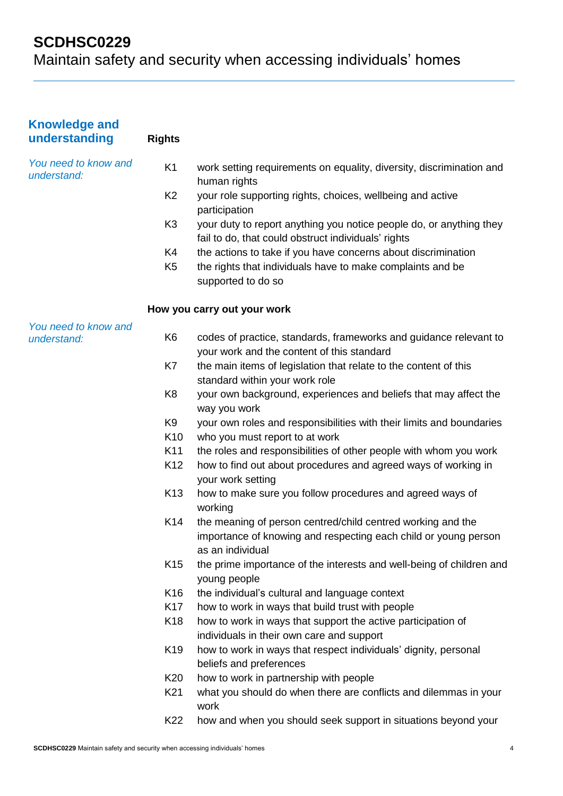| <b>Knowledge and</b><br>understanding | <b>Rights</b>   |                                                                                                                                                    |
|---------------------------------------|-----------------|----------------------------------------------------------------------------------------------------------------------------------------------------|
| You need to know and<br>understand:   | K <sub>1</sub>  | work setting requirements on equality, diversity, discrimination and<br>human rights                                                               |
|                                       | K <sub>2</sub>  | your role supporting rights, choices, wellbeing and active<br>participation                                                                        |
|                                       | K <sub>3</sub>  | your duty to report anything you notice people do, or anything they<br>fail to do, that could obstruct individuals' rights                         |
|                                       | K4              | the actions to take if you have concerns about discrimination                                                                                      |
|                                       | K <sub>5</sub>  | the rights that individuals have to make complaints and be<br>supported to do so                                                                   |
|                                       |                 | How you carry out your work                                                                                                                        |
| You need to know and                  |                 |                                                                                                                                                    |
| understand:                           | K <sub>6</sub>  | codes of practice, standards, frameworks and guidance relevant to<br>your work and the content of this standard                                    |
|                                       | K7              | the main items of legislation that relate to the content of this<br>standard within your work role                                                 |
|                                       | K <sub>8</sub>  | your own background, experiences and beliefs that may affect the<br>way you work                                                                   |
|                                       | K <sub>9</sub>  | your own roles and responsibilities with their limits and boundaries                                                                               |
|                                       | K <sub>10</sub> | who you must report to at work                                                                                                                     |
|                                       | K11             | the roles and responsibilities of other people with whom you work                                                                                  |
|                                       | K <sub>12</sub> | how to find out about procedures and agreed ways of working in<br>your work setting                                                                |
|                                       | K <sub>13</sub> | how to make sure you follow procedures and agreed ways of<br>working                                                                               |
|                                       | K14             | the meaning of person centred/child centred working and the<br>importance of knowing and respecting each child or young person<br>as an individual |
|                                       | K <sub>15</sub> | the prime importance of the interests and well-being of children and<br>young people                                                               |
|                                       | K <sub>16</sub> | the individual's cultural and language context                                                                                                     |
|                                       | K <sub>17</sub> | how to work in ways that build trust with people                                                                                                   |
|                                       | K <sub>18</sub> | how to work in ways that support the active participation of<br>individuals in their own care and support                                          |
|                                       | K <sub>19</sub> | how to work in ways that respect individuals' dignity, personal<br>beliefs and preferences                                                         |
|                                       | K20             | how to work in partnership with people                                                                                                             |
|                                       | K21             | what you should do when there are conflicts and dilemmas in your<br>work                                                                           |
|                                       | K22             | how and when you should seek support in situations beyond your                                                                                     |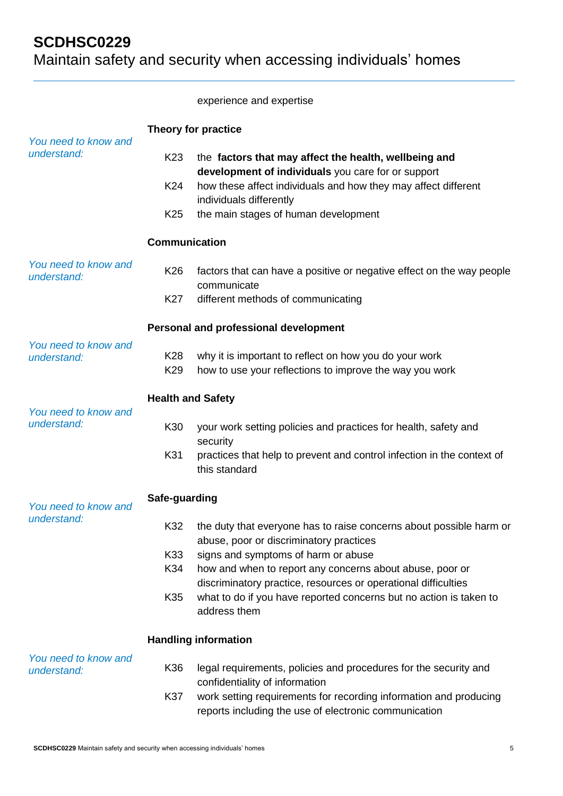### experience and expertise

|                                     | Theory for practice                       |                                                                                                                                                                                                                                                  |
|-------------------------------------|-------------------------------------------|--------------------------------------------------------------------------------------------------------------------------------------------------------------------------------------------------------------------------------------------------|
| You need to know and<br>understand: | K <sub>23</sub><br>K24<br>K <sub>25</sub> | the factors that may affect the health, wellbeing and<br>development of individuals you care for or support<br>how these affect individuals and how they may affect different<br>individuals differently<br>the main stages of human development |
|                                     | <b>Communication</b>                      |                                                                                                                                                                                                                                                  |
| You need to know and<br>understand: | K <sub>26</sub>                           | factors that can have a positive or negative effect on the way people<br>communicate                                                                                                                                                             |
|                                     | K27                                       | different methods of communicating                                                                                                                                                                                                               |
|                                     |                                           | Personal and professional development                                                                                                                                                                                                            |
| You need to know and<br>understand: | K <sub>28</sub><br>K <sub>29</sub>        | why it is important to reflect on how you do your work<br>how to use your reflections to improve the way you work                                                                                                                                |
|                                     | <b>Health and Safety</b>                  |                                                                                                                                                                                                                                                  |
| You need to know and<br>understand: | K30                                       | your work setting policies and practices for health, safety and<br>security                                                                                                                                                                      |
|                                     | K31                                       | practices that help to prevent and control infection in the context of<br>this standard                                                                                                                                                          |
| You need to know and                | Safe-guarding                             |                                                                                                                                                                                                                                                  |
| understand:                         | K32                                       | the duty that everyone has to raise concerns about possible harm or<br>abuse, poor or discriminatory practices                                                                                                                                   |
|                                     | K33                                       | signs and symptoms of harm or abuse                                                                                                                                                                                                              |
|                                     | K34                                       | how and when to report any concerns about abuse, poor or<br>discriminatory practice, resources or operational difficulties                                                                                                                       |
|                                     | K35                                       | what to do if you have reported concerns but no action is taken to<br>address them                                                                                                                                                               |
|                                     |                                           | <b>Handling information</b>                                                                                                                                                                                                                      |
| You need to know and<br>understand: | K36                                       | legal requirements, policies and procedures for the security and<br>confidentiality of information                                                                                                                                               |
|                                     | K37                                       | work setting requirements for recording information and producing<br>reports including the use of electronic communication                                                                                                                       |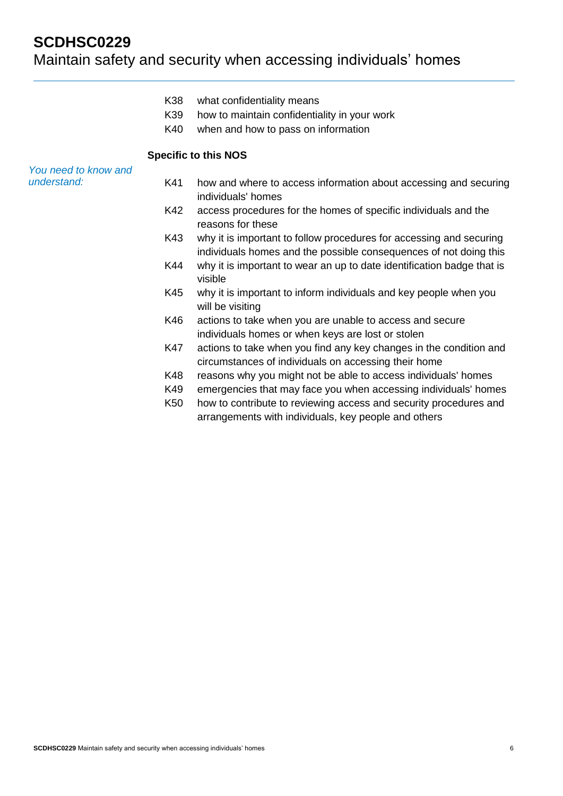## **SCDHSC0229**

# Maintain safety and security when accessing individuals' homes

- K38 what confidentiality means
- K39 how to maintain confidentiality in your work
- K40 when and how to pass on information

### **Specific to this NOS**

### *You need to know and understand:*

- K41 how and where to access information about accessing and securing individuals' homes
- K42 access procedures for the homes of specific individuals and the reasons for these
- K43 why it is important to follow procedures for accessing and securing individuals homes and the possible consequences of not doing this
- K44 why it is important to wear an up to date identification badge that is visible
- K45 why it is important to inform individuals and key people when you will be visiting
- K46 actions to take when you are unable to access and secure individuals homes or when keys are lost or stolen
- K47 actions to take when you find any key changes in the condition and circumstances of individuals on accessing their home
- K48 reasons why you might not be able to access individuals' homes
- K49 emergencies that may face you when accessing individuals' homes
- K50 how to contribute to reviewing access and security procedures and arrangements with individuals, key people and others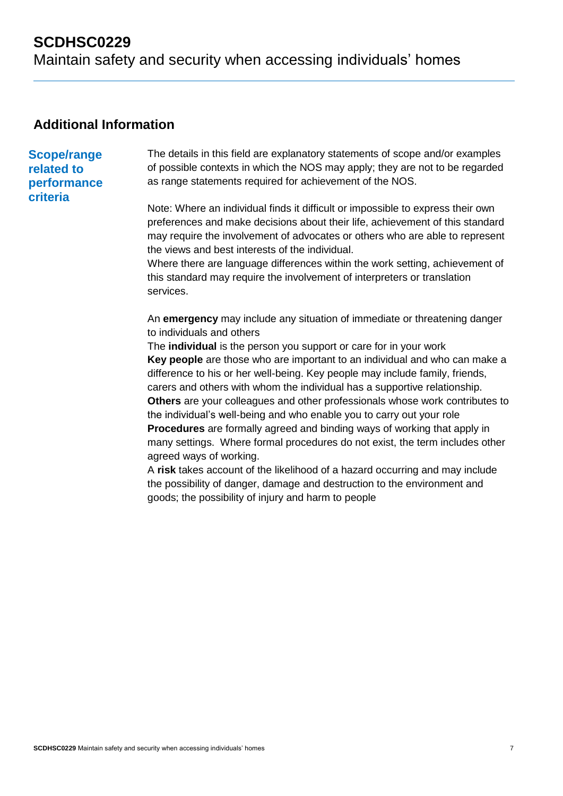### **Additional Information**

### **Scope/range related to performance criteria**

The details in this field are explanatory statements of scope and/or examples of possible contexts in which the NOS may apply; they are not to be regarded as range statements required for achievement of the NOS.

Note: Where an individual finds it difficult or impossible to express their own preferences and make decisions about their life, achievement of this standard may require the involvement of advocates or others who are able to represent the views and best interests of the individual.

Where there are language differences within the work setting, achievement of this standard may require the involvement of interpreters or translation services.

An **emergency** may include any situation of immediate or threatening danger to individuals and others

The **individual** is the person you support or care for in your work **Key people** are those who are important to an individual and who can make a difference to his or her well-being. Key people may include family, friends, carers and others with whom the individual has a supportive relationship. **Others** are your colleagues and other professionals whose work contributes to the individual's well-being and who enable you to carry out your role **Procedures** are formally agreed and binding ways of working that apply in many settings. Where formal procedures do not exist, the term includes other agreed ways of working.

A **risk** takes account of the likelihood of a hazard occurring and may include the possibility of danger, damage and destruction to the environment and goods; the possibility of injury and harm to people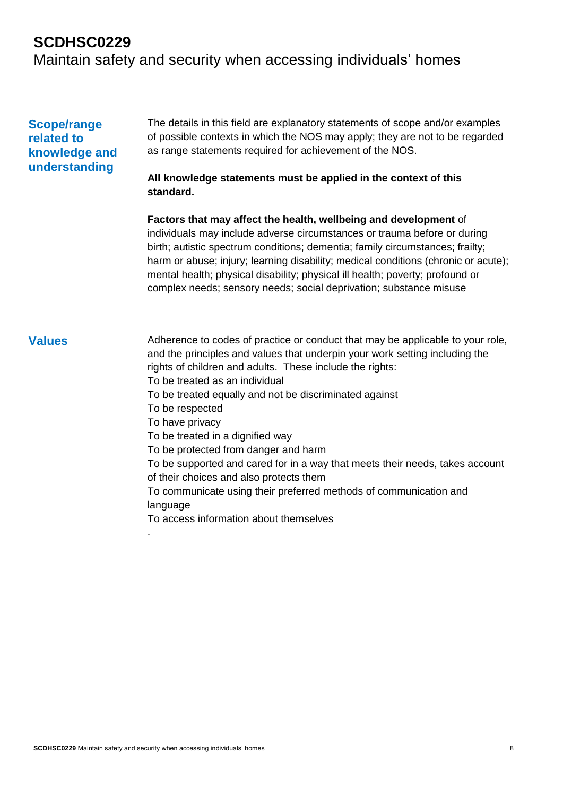### **Scope/range related to knowledge and understanding**

The details in this field are explanatory statements of scope and/or examples of possible contexts in which the NOS may apply; they are not to be regarded as range statements required for achievement of the NOS.

### **All knowledge statements must be applied in the context of this standard.**

**Factors that may affect the health, wellbeing and development** of individuals may include adverse circumstances or trauma before or during birth; autistic spectrum conditions; dementia; family circumstances; frailty; harm or abuse; injury; learning disability; medical conditions (chronic or acute); mental health; physical disability; physical ill health; poverty; profound or complex needs; sensory needs; social deprivation; substance misuse

**Values** Adherence to codes of practice or conduct that may be applicable to your role, and the principles and values that underpin your work setting including the rights of children and adults. These include the rights: To be treated as an individual To be treated equally and not be discriminated against To be respected To have privacy

To be treated in a dignified way

To be protected from danger and harm

To be supported and cared for in a way that meets their needs, takes account of their choices and also protects them

To communicate using their preferred methods of communication and language

To access information about themselves

.